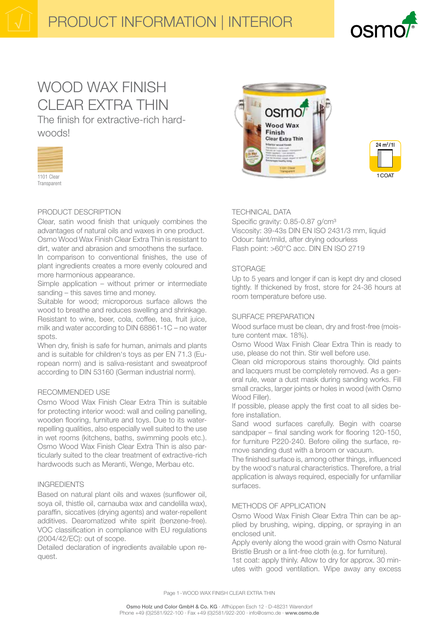

# WOOD WAX FINISH CLEAR EXTRA THIN

The finish for extractive-rich hardwoods!



## PRODUCT DESCRIPTION

Clear, satin wood finish that uniquely combines the advantages of natural oils and waxes in one product. Osmo Wood Wax Finish Clear Extra Thin is resistant to dirt, water and abrasion and smoothens the surface.

In comparison to conventional finishes, the use of plant ingredients creates a more evenly coloured and more harmonious appearance.

Simple application – without primer or intermediate sanding – this saves time and money.

Suitable for wood; microporous surface allows the wood to breathe and reduces swelling and shrinkage. Resistant to wine, beer, cola, coffee, tea, fruit juice, milk and water according to DIN 68861-1C – no water spots.

When dry, finish is safe for human, animals and plants and is suitable for children's toys as per EN 71.3 (European norm) and is saliva-resistant and sweatproof according to DIN 53160 (German industrial norm).

### RECOMMENDED USE

Osmo Wood Wax Finish Clear Extra Thin is suitable for protecting interior wood: wall and ceiling panelling, wooden flooring, furniture and toys. Due to its waterrepelling qualities, also especially well suited to the use in wet rooms (kitchens, baths, swimming pools etc.). Osmo Wood Wax Finish Clear Extra Thin is also particularly suited to the clear treatment of extractive-rich hardwoods such as Meranti, Wenge, Merbau etc.

### INGREDIENTS

Based on natural plant oils and waxes (sunflower oil, soya oil, thistle oil, carnauba wax and candelilla wax), paraffin, siccatives (drying agents) and water-repellent additives. Dearomatized white spirit (benzene-free). VOC classification in compliance with EU regulations (2004/42/EC): out of scope.

Detailed declaration of ingredients available upon request.





## TECHNICAL DATA

Specific gravity: 0.85-0.87 g/cm<sup>3</sup> Viscosity: 39-43s DIN EN ISO 2431/3 mm, liquid Odour: faint/mild, after drying odourless Flash point: >60°C acc. DIN EN ISO 2719

### **STORAGE**

Up to 5 years and longer if can is kept dry and closed tightly. If thickened by frost, store for 24-36 hours at room temperature before use.

### SURFACE PREPARATION

Wood surface must be clean, dry and frost-free (moisture content max. 18%).

Osmo Wood Wax Finish Clear Extra Thin is ready to use, please do not thin. Stir well before use.

Clean old microporous stains thoroughly. Old paints and lacquers must be completely removed. As a general rule, wear a dust mask during sanding works. Fill small cracks, larger joints or holes in wood (with Osmo Wood Filler).

If possible, please apply the first coat to all sides before installation.

Sand wood surfaces carefully. Begin with coarse sandpaper – final sanding work for flooring 120-150, for furniture P220-240. Before oiling the surface, remove sanding dust with a broom or vacuum.

The finished surface is, among other things, influenced by the wood's natural characteristics. Therefore, a trial application is always required, especially for unfamiliar surfaces.

## METHODS OF APPLICATION

Osmo Wood Wax Finish Clear Extra Thin can be applied by brushing, wiping, dipping, or spraying in an enclosed unit.

Apply evenly along the wood grain with Osmo Natural Bristle Brush or a lint-free cloth (e.g. for furniture).

1st coat: apply thinly. Allow to dry for approx. 30 minutes with good ventilation. Wipe away any excess